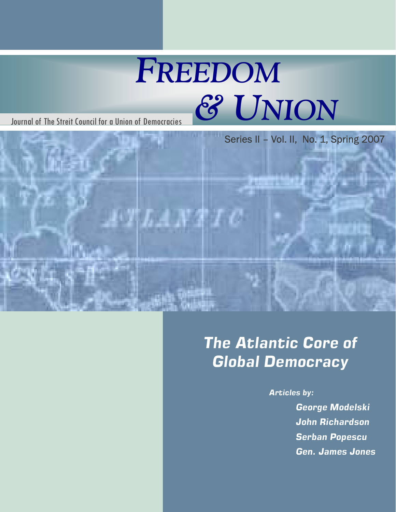# *FREEDOM* Journal of The Streit Council for a Union of Democracies *& UNION*



### *The Atlantic Core of Global Democracy*

*Articles by:* 

*George Modelski John Richardson Serban Popescu Gen. James Jones*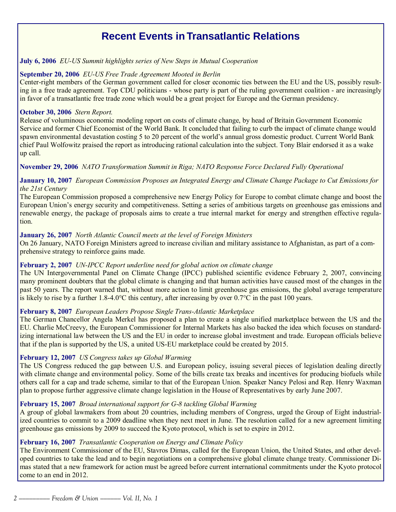### **Recent Events in Transatlantic Relations**

#### **July 6, 2006** *EU-US Summit highlights series of New Steps in Mutual Cooperation*

#### **September 20, 2006** *EU-US Free Trade Agreement Mooted in Berlin*

Center-right members of the German government called for closer economic ties between the EU and the US, possibly resulting in a free trade agreement. Top CDU politicians - whose party is part of the ruling government coalition - are increasingly in favor of a transatlantic free trade zone which would be a great project for Europe and the German presidency.

#### **October 30, 2006** *Stern Report.*

Release of voluminous economic modeling report on costs of climate change, by head of Britain Government Economic Service and former Chief Economist of the World Bank. It concluded that failing to curb the impact of climate change would spawn environmental devastation costing 5 to 20 percent of the world's annual gross domestic product. Current World Bank chief Paul Wolfowitz praised the report as introducing rational calculation into the subject. Tony Blair endorsed it as a wake up call.

### **November 29, 2006** *NATO Transformation Summit in Riga; NATO Response Force Declared Fully Operational*

### **January 10, 2007** *European Commission Proposes an Integrated Energy and Climate Change Package to Cut Emissions for the 21st Century*

The European Commission proposed a comprehensive new Energy Policy for Europe to combat climate change and boost the European Union's energy security and competitiveness. Setting a series of ambitious targets on greenhouse gas emissions and renewable energy, the package of proposals aims to create a true internal market for energy and strengthen effective regulation.

#### **January 26, 2007** *North Atlantic Council meets at the level of Foreign Ministers*

On 26 January, NATO Foreign Ministers agreed to increase civilian and military assistance to Afghanistan, as part of a comprehensive strategy to reinforce gains made.

### **February 2, 2007** *UN-IPCC Report underline need for global action on climate change*

The UN Intergovernmental Panel on Climate Change (IPCC) published scientific evidence February 2, 2007, convincing many prominent doubters that the global climate is changing and that human activities have caused most of the changes in the past 50 years. The report warned that, without more action to limit greenhouse gas emissions, the global average temperature is likely to rise by a further 1.8-4.0°C this century, after increasing by over  $0.7$ °C in the past 100 years.

### **February 8, 2007** *European Leaders Propose Single Trans-Atlantic Marketplace*

The German Chancellor Angela Merkel has proposed a plan to create a single unified marketplace between the US and the EU. Charlie McCreevy, the European Commissioner for Internal Markets has also backed the idea which focuses on standardizing international law between the US and the EU in order to increase global investment and trade. European officials believe that if the plan is supported by the US, a united US-EU marketplace could be created by 2015.

### **February 12, 2007** *US Congress takes up Global Warming*

The US Congress reduced the gap between U.S. and European policy, issuing several pieces of legislation dealing directly with climate change and environmental policy. Some of the bills create tax breaks and incentives for producing biofuels while others call for a cap and trade scheme, similar to that of the European Union. Speaker Nancy Pelosi and Rep. Henry Waxman plan to propose further aggressive climate change legislation in the House of Representatives by early June 2007.

### **February 15, 2007** *Broad international support for G-8 tackling Global Warming*

A group of global lawmakers from about 20 countries, including members of Congress, urged the Group of Eight industrialized countries to commit to a 2009 deadline when they next meet in June. The resolution called for a new agreement limiting greenhouse gas emissions by 2009 to succeed the Kyoto protocol, which is set to expire in 2012.

#### **February 16, 2007** *Transatlantic Cooperation on Energy and Climate Policy*

The Environment Commissioner of the EU, Stavros Dimas, called for the European Union, the United States, and other developed countries to take the lead and to begin negotiations on a comprehensive global climate change treaty. Commissioner Dimas stated that a new framework for action must be agreed before current international commitments under the Kyoto protocol come to an end in 2012.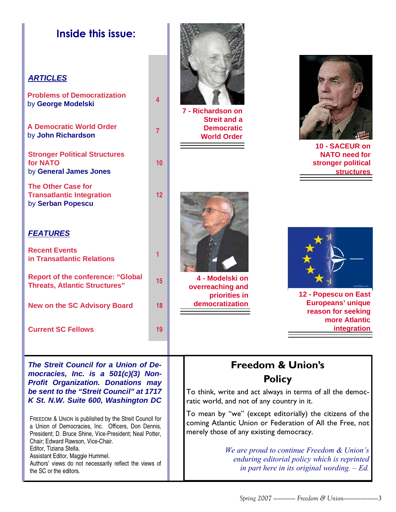### **Inside this issue:**

### **ARTICLES**

**Problems of Democratization**  by **George Modelski <sup>4</sup>**

**A Democratic World Order**  by **John Richardson <sup>7</sup>**

**Stronger Political Structures for NATO**  by **General James Jones** 

**The Other Case for Transatlantic Integration**  by **Serban Popescu**

### **FEATURES**

| <b>Recent Events</b><br>in Transatlantic Relations                               |    |
|----------------------------------------------------------------------------------|----|
| <b>Report of the conference: "Global</b><br><b>Threats, Atlantic Structures"</b> | 15 |
| <b>New on the SC Advisory Board</b>                                              | 18 |
| <b>Current SC Fellows</b>                                                        | 19 |



**7 - Richardson on Streit and a Democratic World Order** 

**10** 

**12** 



**10 - SACEUR on NATO need for stronger political structures** 



**4 - Modelski on overreaching and priorities in democratization** 



**12 - Popescu on East Europeans' unique reason for seeking more Atlantic integration** 

**The Streit Council for a Union of Democracies, Inc. is a 501(c)(3) Non-Profit Organization. Donations may be sent to the "Streit Council" at 1717 K St. N.W. Suite 600, Washington DC** 

FREEDOM & UNION is published by the Streit Council for a Union of Democracies, Inc. Officers, Don Dennis, President; D. Bruce Shine, Vice-President; Neal Potter, Chair; Edward Rawson, Vice-Chair. Editor, Tiziana Stella. Assistant Editor, Maggie Hummel. Authors' views do not necessarily reflect the views of the SC or the editors.

### **Freedom & Union's Policy**

To think, write and act always in terms of all the democratic world, and not of any country in it.

To mean by "we" (except editorially) the citizens of the coming Atlantic Union or Federation of All the Free, not merely those of any existing democracy.

> *We are proud to continue Freedom & Union's enduring editorial policy which is reprinted in part here in its original wording. - Ed.*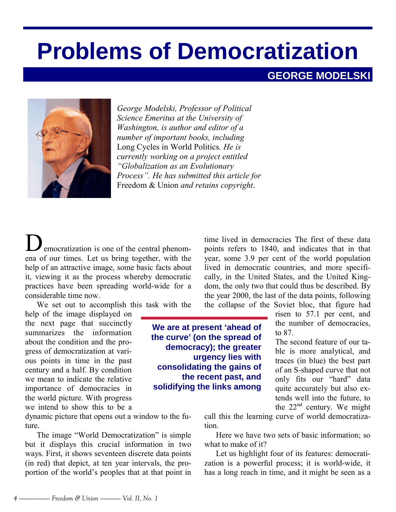# **Problems of Democratization**

### **GEORGE MODELSKI**



*George Modelski, Professor of Political Science Emeritus at the University of Washington, is author and editor of a number of important books, including*  Long Cycles in World Politics*. He is currently working on a project entitled ìGlobalization as an Evolutionary Processî. He has submitted this article for*  Freedom & Union *and retains copyright*.

emocratization is one of the central phenomena of our times. Let us bring together, with the help of an attractive image, some basic facts about it, viewing it as the process whereby democratic practices have been spreading world-wide for a considerable time now.

We set out to accomplish this task with the

help of the image displayed on the next page that succinctly summarizes the information about the condition and the progress of democratization at various points in time in the past century and a half. By condition we mean to indicate the relative importance of democracies in the world picture. With progress we intend to show this to be a

dynamic picture that opens out a window to the future.

The image "World Democratization" is simple but it displays this crucial information in two ways. First, it shows seventeen discrete data points (in red) that depict, at ten year intervals, the proportion of the world's peoples that at that point in time lived in democracies The first of these data points refers to 1840, and indicates that in that year, some 3.9 per cent of the world population lived in democratic countries, and more specifically, in the United States, and the United Kingdom, the only two that could thus be described. By the year 2000, the last of the data points, following the collapse of the Soviet bloc, that figure had

**We are at present 'ahead of the curve' (on the spread of democracy); the greater urgency lies with consolidating the gains of the recent past, and solidifying the links among** 

risen to 57.1 per cent, and the number of democracies, to 87.

The second feature of our table is more analytical, and traces (in blue) the best part of an S-shaped curve that not only fits our "hard" data quite accurately but also extends well into the future, to the  $22<sup>nd</sup>$  century. We might

call this the learning curve of world democratization.

Here we have two sets of basic information; so what to make of it?

Let us highlight four of its features: democratization is a powerful process; it is world-wide, it has a long reach in time, and it might be seen as a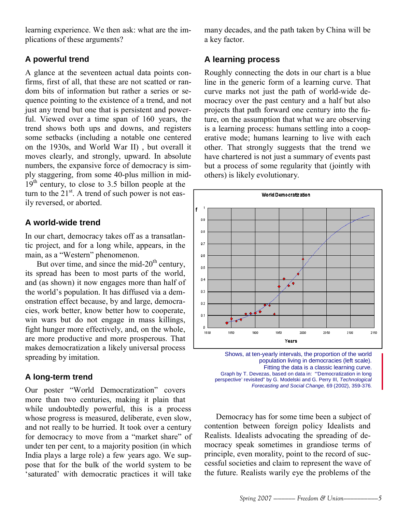learning experience. We then ask: what are the implications of these arguments?

### **A powerful trend**

A glance at the seventeen actual data points confirms, first of all, that these are not scatted or random bits of information but rather a series or sequence pointing to the existence of a trend, and not just any trend but one that is persistent and powerful. Viewed over a time span of 160 years, the trend shows both ups and downs, and registers some setbacks (including a notable one centered on the 1930s, and World War II) , but overall it moves clearly, and strongly, upward. In absolute numbers, the expansive force of democracy is simply staggering, from some 40-plus million in mid- $19<sup>th</sup>$  century, to close to 3.5 billon people at the turn to the  $21^{st}$ . A trend of such power is not easily reversed, or aborted.

### **A world-wide trend**

In our chart, democracy takes off as a transatlantic project, and for a long while, appears, in the main, as a "Western" phenomenon.

But over time, and since the mid- $20<sup>th</sup>$  century, its spread has been to most parts of the world, and (as shown) it now engages more than half of the world's population. It has diffused via a demonstration effect because, by and large, democracies, work better, know better how to cooperate, win wars but do not engage in mass killings, fight hunger more effectively, and, on the whole, are more productive and more prosperous. That makes democratization a likely universal process spreading by imitation.

### **A long-term trend**

Our poster "World Democratization" covers more than two centuries, making it plain that while undoubtedly powerful, this is a process whose progress is measured, deliberate, even slow, and not really to be hurried. It took over a century for democracy to move from a "market share" of under ten per cent, to a majority position (in which India plays a large role) a few years ago. We suppose that for the bulk of the world system to be 'saturated' with democratic practices it will take many decades, and the path taken by China will be a key factor.

### **A learning process**

Roughly connecting the dots in our chart is a blue line in the generic form of a learning curve. That curve marks not just the path of world-wide democracy over the past century and a half but also projects that path forward one century into the future, on the assumption that what we are observing is a learning process: humans settling into a cooperative mode; humans learning to live with each other. That strongly suggests that the trend we have chartered is not just a summary of events past but a process of some regularity that (jointly with others) is likely evolutionary.



Shows, at ten-yearly intervals, the proportion of the world population living in democracies (left scale). Fitting the data is a classic learning curve. Graph by T. Devezas, based on data in: "'Democratization in long perspective' revisited" by G. Modelski and G. Perry III, Technological Forecasting and Social Change, 69 (2002), 359-376.

Democracy has for some time been a subject of contention between foreign policy Idealists and Realists. Idealists advocating the spreading of democracy speak sometimes in grandiose terms of principle, even morality, point to the record of successful societies and claim to represent the wave of the future. Realists warily eye the problems of the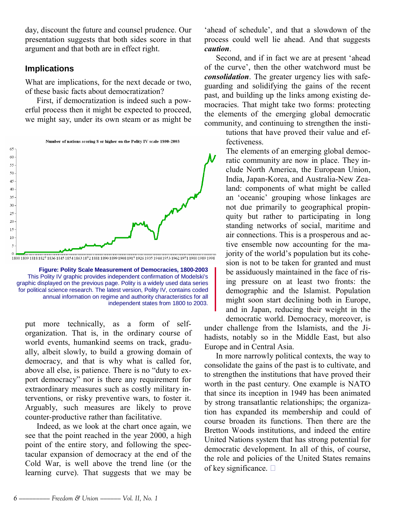day, discount the future and counsel prudence. Our presentation suggests that both sides score in that argument and that both are in effect right.

### **Implications**

What are implications, for the next decade or two, of these basic facts about democratization?

First, if democratization is indeed such a powerful process then it might be expected to proceed, we might say, under its own steam or as might be



**Figure: Polity Scale Measurement of Democracies, 1800-2003**  This Polity IV graphic provides independent confirmation of Modelski's graphic displayed on the previous page. Polity is a widely used data series for political science research. The latest version, Polity IV, contains coded annual information on regime and authority characteristics for all independent states from 1800 to 2003.

put more technically, as a form of selforganization. That is, in the ordinary course of world events, humankind seems on track, gradually, albeit slowly, to build a growing domain of democracy, and that is why what is called for, above all else, is patience. There is no "duty to export democracy" nor is there any requirement for extraordinary measures such as costly military interventions, or risky preventive wars, to foster it. Arguably, such measures are likely to prove counter-productive rather than facilitative.

Indeed, as we look at the chart once again, we see that the point reached in the year 2000, a high point of the entire story, and following the spectacular expansion of democracy at the end of the Cold War, is well above the trend line (or the learning curve). That suggests that we may be

'ahead of schedule', and that a slowdown of the process could well lie ahead. And that suggests *caution*.

Second, and if in fact we are at present 'ahead of the curve', then the other watchword must be *consolidation*. The greater urgency lies with safeguarding and solidifying the gains of the recent past, and building up the links among existing democracies. That might take two forms: protecting the elements of the emerging global democratic community, and continuing to strengthen the insti-

> tutions that have proved their value and effectiveness.

The elements of an emerging global democratic community are now in place. They include North America, the European Union, India, Japan-Korea, and Australia-New Zealand: components of what might be called an 'oceanic' grouping whose linkages are not due primarily to geographical propinquity but rather to participating in long standing networks of social, maritime and air connections. This is a prosperous and active ensemble now accounting for the majority of the world's population but its cohesion is not to be taken for granted and must be assiduously maintained in the face of rising pressure on at least two fronts: the demographic and the Islamist. Population might soon start declining both in Europe, and in Japan, reducing their weight in the democratic world. Democracy, moreover, is

under challenge from the Islamists, and the Jihadists, notably so in the Middle East, but also Europe and in Central Asia.

In more narrowly political contexts, the way to consolidate the gains of the past is to cultivate, and to strengthen the institutions that have proved their worth in the past century. One example is NATO that since its inception in 1949 has been animated by strong transatlantic relationships; the organization has expanded its membership and could of course broaden its functions. Then there are the Bretton Woods institutions, and indeed the entire United Nations system that has strong potential for democratic development. In all of this, of course, the role and policies of the United States remains of key significance.  $\Box$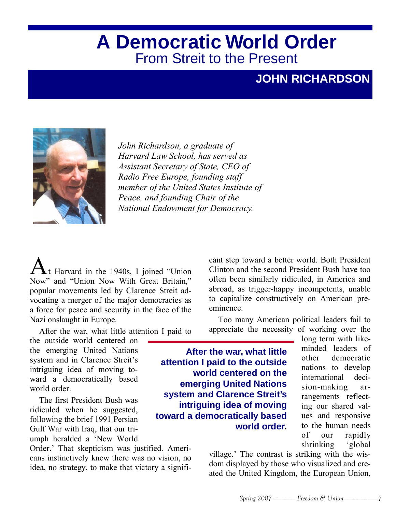### **A Democratic World Order**  From Streit to the Present

### **JOHN RICHARDSON**



*John Richardson, a graduate of Harvard Law School, has served as Assistant Secretary of State, CEO of Radio Free Europe, founding staff member of the United States Institute of Peace, and founding Chair of the National Endowment for Democracy.*

 $\blacktriangle$ t Harvard in the 1940s, I joined "Union Now" and "Union Now With Great Britain," popular movements led by Clarence Streit advocating a merger of the major democracies as a force for peace and security in the face of the Nazi onslaught in Europe.

After the war, what little attention I paid to

the outside world centered on the emerging United Nations system and in Clarence Streit's intriguing idea of moving toward a democratically based world order

The first President Bush was ridiculed when he suggested, following the brief 1991 Persian Gulf War with Iraq, that our triumph heralded a 'New World

Order.' That skepticism was justified. Americans instinctively knew there was no vision, no idea, no strategy, to make that victory a significant step toward a better world. Both President Clinton and the second President Bush have too often been similarly ridiculed, in America and abroad, as trigger-happy incompetents, unable to capitalize constructively on American preeminence.

Too many American political leaders fail to appreciate the necessity of working over the

**After the war, what little attention I paid to the outside world centered on the emerging United Nations system and Clarence Streit's intriguing idea of moving toward a democratically based world order.** 

long term with likeminded leaders of other democratic nations to develop international decision-making arrangements reflecting our shared values and responsive to the human needs of our rapidly shrinking 'global

village.' The contrast is striking with the wisdom displayed by those who visualized and created the United Kingdom, the European Union,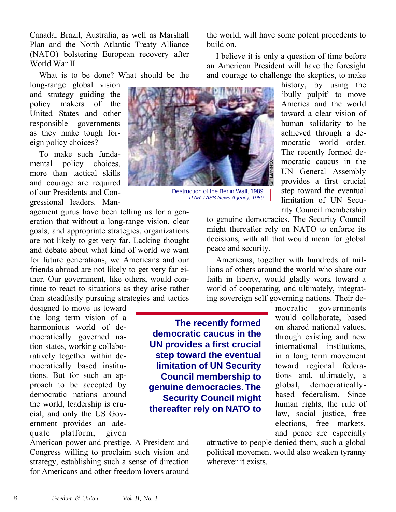Canada, Brazil, Australia, as well as Marshall Plan and the North Atlantic Treaty Alliance (NATO) bolstering European recovery after World War II.

What is to be done? What should be the

long-range global vision and strategy guiding the policy makers of the United States and other responsible governments as they make tough foreign policy choices?

To make such fundamental policy choices, more than tactical skills and courage are required of our Presidents and Congressional leaders. Man-

agement gurus have been telling us for a generation that without a long-range vision, clear goals, and appropriate strategies, organizations are not likely to get very far. Lacking thought and debate about what kind of world we want for future generations, we Americans and our friends abroad are not likely to get very far either. Our government, like others, would continue to react to situations as they arise rather than steadfastly pursuing strategies and tactics

designed to move us toward the long term vision of a harmonious world of democratically governed nation states, working collaboratively together within democratically based institutions. But for such an approach to be accepted by democratic nations around the world, leadership is crucial, and only the US Government provides an adequate platform, given

American power and prestige. A President and Congress willing to proclaim such vision and strategy, establishing such a sense of direction for Americans and other freedom lovers around the world, will have some potent precedents to build on.

I believe it is only a question of time before an American President will have the foresight and courage to challenge the skeptics, to make



Destruction of the Berlin Wall, 1989 ITAR-TASS News Agency, 1989

history, by using the 'bully pulpit' to move America and the world toward a clear vision of human solidarity to be achieved through a democratic world order. The recently formed democratic caucus in the UN General Assembly provides a first crucial step toward the eventual limitation of UN Security Council membership

to genuine democracies. The Security Council might thereafter rely on NATO to enforce its decisions, with all that would mean for global peace and security.

Americans, together with hundreds of millions of others around the world who share our faith in liberty, would gladly work toward a world of cooperating, and ultimately, integrating sovereign self governing nations. Their de-

**The recently formed democratic caucus in the UN provides a first crucial step toward the eventual limitation of UN Security Council membership to genuine democracies. The Security Council might thereafter rely on NATO to** 

mocratic governments would collaborate, based on shared national values, through existing and new international institutions, in a long term movement toward regional federations and, ultimately, a global, democraticallybased federalism. Since human rights, the rule of law, social justice, free elections, free markets, and peace are especially

attractive to people denied them, such a global political movement would also weaken tyranny wherever it exists.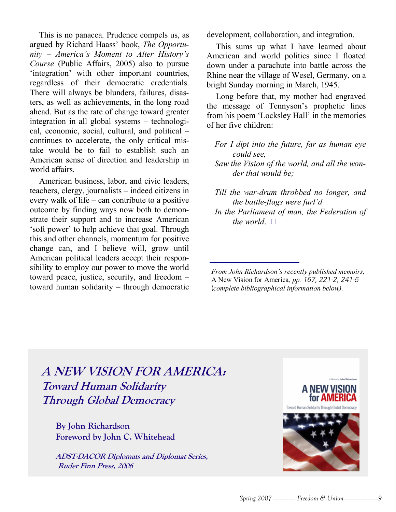This is no panacea. Prudence compels us, as argued by Richard Haass' book, *The Opportunity ñ Americaís Moment to Alter Historyís Course* (Public Affairs, 2005) also to pursue 'integration' with other important countries, regardless of their democratic credentials. There will always be blunders, failures, disasters, as well as achievements, in the long road ahead. But as the rate of change toward greater integration in all global systems  $-$  technological, economic, social, cultural, and political  $$ continues to accelerate, the only critical mistake would be to fail to establish such an American sense of direction and leadership in world affairs.

American business, labor, and civic leaders, teachers, clergy, journalists  $-$  indeed citizens in every walk of life  $-$  can contribute to a positive outcome by finding ways now both to demonstrate their support and to increase American 'soft power' to help achieve that goal. Through this and other channels, momentum for positive change can, and I believe will, grow until American political leaders accept their responsibility to employ our power to move the world toward peace, justice, security, and freedom  $$ toward human solidarity  $-$  through democratic development, collaboration, and integration.

This sums up what I have learned about American and world politics since I floated down under a parachute into battle across the Rhine near the village of Wesel, Germany, on a bright Sunday morning in March, 1945.

Long before that, my mother had engraved the message of Tennyson's prophetic lines from his poem 'Locksley Hall' in the memories of her five children:

*For I dipt into the future, far as human eye could see,*

*Saw the Vision of the world, and all the wonder that would be;*

*Till the war-drum throbbed no longer, and the battle-flags were furl'd* 

*In the Parliament of man, the Federation of the world*.  $\Box$ 

*From John Richardson's recently published memoirs,* A New Vision for America*, pp.* 167, 221-2, 241-5 (*complete bibliographical information below).*

### **A NEW VISION FOR AMERICA: Toward Human Solidarity Through Global Democracy**

**By John Richardson Foreword by John C. Whitehead**

**ADST-DACOR Diplomats and Diplomat Series, Ruder Finn Press, 2006**

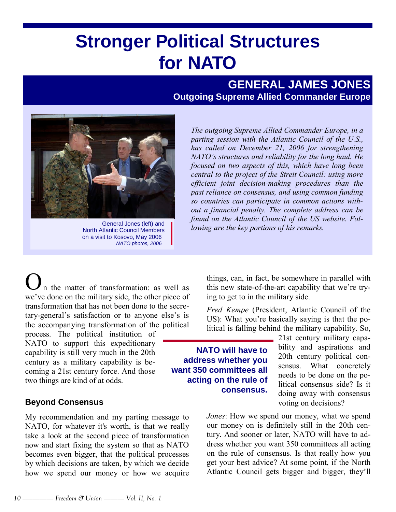## **Stronger Political Structures for NATO**

### **GENERAL JAMES JONES Outgoing Supreme Allied Commander Europe**



North Atlantic Council Members on a visit to Kosovo, May 2006 NATO photos, 2006

*The outgoing Supreme Allied Commander Europe, in a parting session with the Atlantic Council of the U.S., has called on December 21, 2006 for strengthening NATO's structures and reliability for the long haul. He focused on two aspects of this, which have long been central to the project of the Streit Council: using more efficient joint decision-making procedures than the past reliance on consensus, and using common funding so countries can participate in common actions without a financial penalty. The complete address can be found on the Atlantic Council of the US website. Following are the key portions of his remarks.* General Jones (left) and

In the matter of transformation: as well as we've done on the military side, the other piece of transformation that has not been done to the secretary-general's satisfaction or to anyone else's is the accompanying transformation of the political

process. The political institution of NATO to support this expeditionary capability is still very much in the 20th century as a military capability is becoming a 21st century force. And those two things are kind of at odds.

### **Beyond Consensus**

My recommendation and my parting message to NATO, for whatever it's worth, is that we really take a look at the second piece of transformation now and start fixing the system so that as NATO becomes even bigger, that the political processes by which decisions are taken, by which we decide how we spend our money or how we acquire things, can, in fact, be somewhere in parallel with this new state-of-the-art capability that we're trying to get to in the military side.

*Fred Kempe* (President, Atlantic Council of the US): What you're basically saying is that the political is falling behind the military capability. So,

**NATO will have to address whether you want 350 committees all acting on the rule of consensus.** 

21st century military capability and aspirations and 20th century political consensus. What concretely needs to be done on the political consensus side? Is it doing away with consensus voting on decisions?

*Jones*: How we spend our money, what we spend our money on is definitely still in the 20th century. And sooner or later, NATO will have to address whether you want 350 committees all acting on the rule of consensus. Is that really how you get your best advice? At some point, if the North Atlantic Council gets bigger and bigger, they'll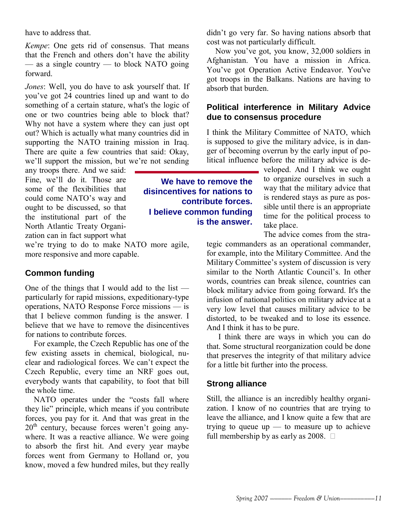have to address that.

*Kempe*: One gets rid of consensus. That means that the French and others don't have the ability  $\frac{1}{x}$  as a single country  $\frac{1}{x}$  to block NATO going forward.

*Jones*: Well, you do have to ask yourself that. If youíve got 24 countries lined up and want to do something of a certain stature, what's the logic of one or two countries being able to block that? Why not have a system where they can just opt out? Which is actually what many countries did in supporting the NATO training mission in Iraq. There are quite a few countries that said: Okay, we'll support the mission, but we're not sending

any troops there. And we said: Fine, we'll do it. Those are some of the flexibilities that could come NATO's way and ought to be discussed, so that the institutional part of the North Atlantic Treaty Organization can in fact support what

we're trying to do to make NATO more agile, more responsive and more capable.

### **Common funding**

One of the things that I would add to the list  $$ particularly for rapid missions, expeditionary-type operations, NATO Response Force missions  $-$  is that I believe common funding is the answer. I believe that we have to remove the disincentives for nations to contribute forces.

For example, the Czech Republic has one of the few existing assets in chemical, biological, nuclear and radiological forces. We can't expect the Czech Republic, every time an NRF goes out, everybody wants that capability, to foot that bill the whole time.

NATO operates under the "costs fall where they lie" principle, which means if you contribute forces, you pay for it. And that was great in the  $20<sup>th</sup>$  century, because forces weren't going anywhere. It was a reactive alliance. We were going to absorb the first hit. And every year maybe forces went from Germany to Holland or, you know, moved a few hundred miles, but they really didn't go very far. So having nations absorb that cost was not particularly difficult.

Now you've got, you know, 32,000 soldiers in Afghanistan. You have a mission in Africa. You've got Operation Active Endeavor. You've got troops in the Balkans. Nations are having to absorb that burden.

### **Political interference in Military Advice due to consensus procedure**

I think the Military Committee of NATO, which is supposed to give the military advice, is in danger of becoming overrun by the early input of political influence before the military advice is de-

> veloped. And I think we ought to organize ourselves in such a way that the military advice that is rendered stays as pure as possible until there is an appropriate time for the political process to take place.

> The advice comes from the stra-

tegic commanders as an operational commander, for example, into the Military Committee. And the Military Committee's system of discussion is very similar to the North Atlantic Council's In other words, countries can break silence, countries can block military advice from going forward. It's the infusion of national politics on military advice at a very low level that causes military advice to be distorted, to be tweaked and to lose its essence. And I think it has to be pure.

I think there are ways in which you can do that. Some structural reorganization could be done that preserves the integrity of that military advice for a little bit further into the process.

### **Strong alliance**

Still, the alliance is an incredibly healthy organization. I know of no countries that are trying to leave the alliance, and I know quite a few that are trying to queue up  $-$  to measure up to achieve full membership by as early as  $2008$ .  $\Box$ 

**We have to remove the disincentives for nations to contribute forces. I believe common funding is the answer.**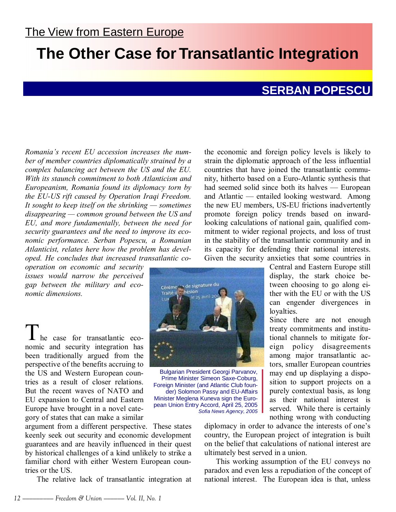### **The Other Case for Transatlantic Integration**

### **SERBAN POPESCU**

*Romaniaís recent EU accession increases the number of member countries diplomatically strained by a complex balancing act between the US and the EU. With its staunch commitment to both Atlanticism and Europeanism, Romania found its diplomacy torn by the EU-US rift caused by Operation Iraqi Freedom.*  It sought to keep itself on the shrinking – sometimes disappearing – common ground between the US and *EU, and more fundamentally, between the need for security guarantees and the need to improve its economic performance. Serban Popescu, a Romanian Atlanticist, relates here how the problem has developed. He concludes that increased transatlantic co-*

*operation on economic and security issues would narrow the perceived gap between the military and economic dimensions.* 

 $\perp$  he case for transatlantic economic and security integration has been traditionally argued from the perspective of the benefits accruing to the US and Western European countries as a result of closer relations. But the recent waves of NATO and EU expansion to Central and Eastern Europe have brought in a novel category of states that can make a similar

argument from a different perspective. These states keenly seek out security and economic development guarantees and are heavily influenced in their quest by historical challenges of a kind unlikely to strike a familiar chord with either Western European countries or the US.

The relative lack of transatlantic integration at

the economic and foreign policy levels is likely to strain the diplomatic approach of the less influential countries that have joined the transatlantic community, hitherto based on a Euro-Atlantic synthesis that had seemed solid since both its halves  $-$  European and Atlantic  $-$  entailed looking westward. Among the new EU members, US-EU frictions inadvertently promote foreign policy trends based on inwardlooking calculations of national gain, qualified commitment to wider regional projects, and loss of trust in the stability of the transatlantic community and in its capacity for defending their national interests. Given the security anxieties that some countries in

Central and Eastern Europe still display, the stark choice between choosing to go along either with the EU or with the US can engender divergences in loyalties.

Since there are not enough treaty commitments and institutional channels to mitigate foreign policy disagreements among major transatlantic actors, smaller European countries may end up displaying a disposition to support projects on a purely contextual basis, as long as their national interest is served. While there is certainly nothing wrong with conducting

diplomacy in order to advance the interests of one's country, the European project of integration is built on the belief that calculations of national interest are ultimately best served in a union.

This working assumption of the EU conveys no paradox and even less a repudiation of the concept of national interest. The European idea is that, unless



Bulgarian President Georgi Parvanov, Prime Minister Simeon Saxe-Coburg, Foreign Minister (and Atlantic Club founder) Solomon Passy and EU-Affairs Minister Meglena Kuneva sign the European Union Entry Accord, April 25, 2005 Sofia News Agency, 2005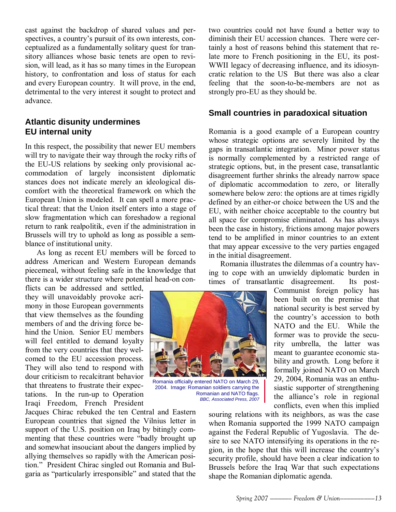cast against the backdrop of shared values and perspectives, a country's pursuit of its own interests, conceptualized as a fundamentally solitary quest for transitory alliances whose basic tenets are open to revision, will lead, as it has so many times in the European history, to confrontation and loss of status for each and every European country. It will prove, in the end, detrimental to the very interest it sought to protect and advance.

### **Atlantic disunity undermines EU internal unity**

In this respect, the possibility that newer EU members will try to navigate their way through the rocky rifts of the EU-US relations by seeking only provisional accommodation of largely inconsistent diplomatic stances does not indicate merely an ideological discomfort with the theoretical framework on which the European Union is modeled. It can spell a more practical threat: that the Union itself enters into a stage of slow fragmentation which can foreshadow a regional return to rank realpolitik, even if the administration in Brussels will try to uphold as long as possible a semblance of institutional unity.

As long as recent EU members will be forced to address American and Western European demands piecemeal, without feeling safe in the knowledge that there is a wider structure where potential head-on con-

flicts can be addressed and settled, they will unavoidably provoke acrimony in those European governments that view themselves as the founding members of and the driving force behind the Union. Senior EU members will feel entitled to demand loyalty from the very countries that they welcomed to the EU accession process. They will also tend to respond with dour criticism to recalcitrant behavior that threatens to frustrate their expectations. In the run-up to Operation Iraqi Freedom, French President

Jacques Chirac rebuked the ten Central and Eastern European countries that signed the Vilnius letter in support of the U.S. position on Iraq by bitingly commenting that these countries were "badly brought up and somewhat insouciant about the dangers implied by allying themselves so rapidly with the American position." President Chirac singled out Romania and Bulgaria as "particularly irresponsible" and stated that the

two countries could not have found a better way to diminish their EU accession chances. There were certainly a host of reasons behind this statement that relate more to French positioning in the EU, its post-WWII legacy of decreasing influence, and its idiosyncratic relation to the US But there was also a clear feeling that the soon-to-be-members are not as strongly pro-EU as they should be.

### **Small countries in paradoxical situation**

Romania is a good example of a European country whose strategic options are severely limited by the gaps in transatlantic integration. Minor power status is normally complemented by a restricted range of strategic options, but, in the present case, transatlantic disagreement further shrinks the already narrow space of diplomatic accommodation to zero, or literally somewhere below zero: the options are at times rigidly defined by an either-or choice between the US and the EU, with neither choice acceptable to the country but all space for compromise eliminated. As has always been the case in history, frictions among major powers tend to be amplified in minor countries to an extent that may appear excessive to the very parties engaged in the initial disagreement.

Romania illustrates the dilemmas of a country having to cope with an unwieldy diplomatic burden in times of transatlantic disagreement. Its post-

> Communist foreign policy has been built on the premise that national security is best served by the country's accession to both NATO and the EU. While the former was to provide the security umbrella, the latter was meant to guarantee economic stability and growth. Long before it formally joined NATO on March 29, 2004, Romania was an enthusiastic supporter of strengthening the alliance's role in regional conflicts, even when this implied

souring relations with its neighbors, as was the case when Romania supported the 1999 NATO campaign against the Federal Republic of Yugoslavia. The desire to see NATO intensifying its operations in the region, in the hope that this will increase the countryís security profile, should have been a clear indication to Brussels before the Iraq War that such expectations shape the Romanian diplomatic agenda.



Romania officially entered NATO on March 29, 2004. Image: Romanian soldiers carrying the Romanian and NATO flags. BBC, Associated Press, 2007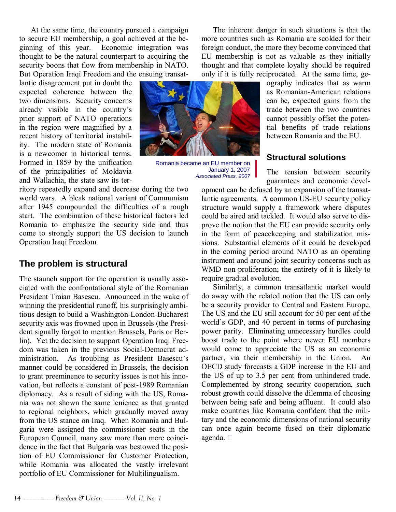At the same time, the country pursued a campaign to secure EU membership, a goal achieved at the beginning of this year. Economic integration was thought to be the natural counterpart to acquiring the security boons that flow from membership in NATO. But Operation Iraqi Freedom and the ensuing transat-

lantic disagreement put in doubt the expected coherence between the two dimensions. Security concerns already visible in the country's prior support of NATO operations in the region were magnified by a recent history of territorial instability. The modern state of Romania is a newcomer in historical terms. Formed in 1859 by the unification of the principalities of Moldavia and Wallachia, the state saw its ter-

ritory repeatedly expand and decrease during the two world wars. A bleak national variant of Communism after 1945 compounded the difficulties of a rough start. The combination of these historical factors led Romania to emphasize the security side and thus come to strongly support the US decision to launch Operation Iraqi Freedom.

### **The problem is structural**

The staunch support for the operation is usually associated with the confrontational style of the Romanian President Traian Basescu. Announced in the wake of winning the presidential runoff, his surprisingly ambitious design to build a Washington-London-Bucharest security axis was frowned upon in Brussels (the President signally forgot to mention Brussels, Paris or Berlin). Yet the decision to support Operation Iraqi Freedom was taken in the previous Social-Democrat administration. As troubling as President Basescu's manner could be considered in Brussels, the decision to grant preeminence to security issues is not his innovation, but reflects a constant of post-1989 Romanian diplomacy. As a result of siding with the US, Romania was not shown the same lenience as that granted to regional neighbors, which gradually moved away from the US stance on Iraq. When Romania and Bulgaria were assigned the commissioner seats in the European Council, many saw more than mere coincidence in the fact that Bulgaria was bestowed the position of EU Commissioner for Customer Protection, while Romania was allocated the vastly irrelevant portfolio of EU Commissioner for Multilingualism.

The inherent danger in such situations is that the more countries such as Romania are scolded for their foreign conduct, the more they become convinced that EU membership is not as valuable as they initially thought and that complete loyalty should be required only if it is fully reciprocated. At the same time, ge-

ography indicates that as warm as Romanian-American relations can be, expected gains from the trade between the two countries cannot possibly offset the potential benefits of trade relations between Romania and the EU.

### **Structural solutions**

The tension between security guarantees and economic devel-

opment can be defused by an expansion of the transatlantic agreements. A common US-EU security policy structure would supply a framework where disputes could be aired and tackled. It would also serve to disprove the notion that the EU can provide security only in the form of peacekeeping and stabilization missions. Substantial elements of it could be developed in the coming period around NATO as an operating instrument and around joint security concerns such as WMD non-proliferation; the entirety of it is likely to require gradual evolution.

Similarly, a common transatlantic market would do away with the related notion that the US can only be a security provider to Central and Eastern Europe. The US and the EU still account for 50 per cent of the world's GDP, and 40 percent in terms of purchasing power parity. Eliminating unnecessary hurdles could boost trade to the point where newer EU members would come to appreciate the US as an economic partner, via their membership in the Union. An OECD study forecasts a GDP increase in the EU and the US of up to 3.5 per cent from unhindered trade. Complemented by strong security cooperation, such robust growth could dissolve the dilemma of choosing between being safe and being affluent. It could also make countries like Romania confident that the military and the economic dimensions of national security can once again become fused on their diplomatic agenda.



Romania became an EU member on January 1, 2007 Associated Press, 2007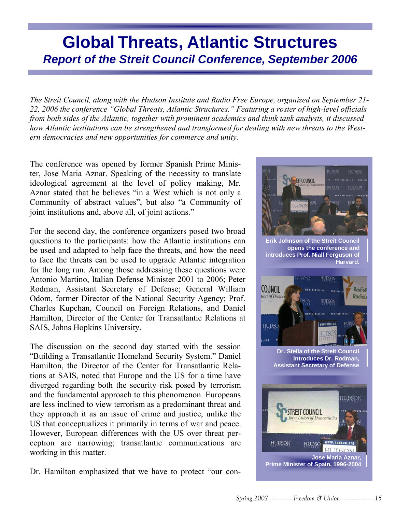### **Global Threats, Atlantic Structures Report of the Streit Council Conference, September 2006**

*The Streit Council, along with the Hudson Institute and Radio Free Europe, organized on September 21-* 22, 2006 the conference "Global Threats, Atlantic Structures." Featuring a roster of high-level officials *from both sides of the Atlantic, together with prominent academics and think tank analysts, it discussed how Atlantic institutions can be strengthened and transformed for dealing with new threats to the Western democracies and new opportunities for commerce and unity.*

The conference was opened by former Spanish Prime Minister, Jose Maria Aznar. Speaking of the necessity to translate ideological agreement at the level of policy making, Mr. Aznar stated that he believes "in a West which is not only a Community of abstract values", but also "a Community of joint institutions and, above all, of joint actions."

For the second day, the conference organizers posed two broad questions to the participants: how the Atlantic institutions can be used and adapted to help face the threats, and how the need to face the threats can be used to upgrade Atlantic integration for the long run. Among those addressing these questions were Antonio Martino, Italian Defense Minister 2001 to 2006; Peter Rodman, Assistant Secretary of Defense; General William Odom, former Director of the National Security Agency; Prof. Charles Kupchan, Council on Foreign Relations, and Daniel Hamilton, Director of the Center for Transatlantic Relations at SAIS, Johns Hopkins University.

The discussion on the second day started with the session "Building a Transatlantic Homeland Security System." Daniel Hamilton, the Director of the Center for Transatlantic Relations at SAIS, noted that Europe and the US for a time have diverged regarding both the security risk posed by terrorism and the fundamental approach to this phenomenon. Europeans are less inclined to view terrorism as a predominant threat and they approach it as an issue of crime and justice, unlike the US that conceptualizes it primarily in terms of war and peace. However, European differences with the US over threat perception are narrowing; transatlantic communications are working in this matter.

Dr. Hamilton emphasized that we have to protect "our con-

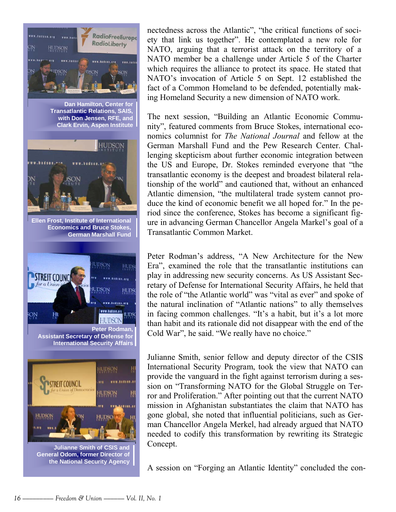

**Julianne Smith of CSIS and General Odom, former Director of the National Security Agency** 

nectedness across the Atlantic", "the critical functions of society that link us together". He contemplated a new role for NATO, arguing that a terrorist attack on the territory of a NATO member be a challenge under Article 5 of the Charter which requires the alliance to protect its space. He stated that NATO's invocation of Article 5 on Sept. 12 established the fact of a Common Homeland to be defended, potentially making Homeland Security a new dimension of NATO work.

The next session, "Building an Atlantic Economic Community", featured comments from Bruce Stokes, international economics columnist for *The National Journal* and fellow at the German Marshall Fund and the Pew Research Center. Challenging skepticism about further economic integration between the US and Europe, Dr. Stokes reminded everyone that "the transatlantic economy is the deepest and broadest bilateral relationship of the world" and cautioned that, without an enhanced Atlantic dimension, "the multilateral trade system cannot produce the kind of economic benefit we all hoped for." In the period since the conference, Stokes has become a significant figure in advancing German Chancellor Angela Markel's goal of a Transatlantic Common Market.

Peter Rodman's address, "A New Architecture for the New Era", examined the role that the transatlantic institutions can play in addressing new security concerns. As US Assistant Secretary of Defense for International Security Affairs, he held that the role of "the Atlantic world" was "vital as ever" and spoke of the natural inclination of "Atlantic nations" to ally themselves in facing common challenges. "It's a habit, but it's a lot more than habit and its rationale did not disappear with the end of the Cold War", he said. "We really have no choice."

Julianne Smith, senior fellow and deputy director of the CSIS International Security Program, took the view that NATO can provide the vanguard in the fight against terrorism during a session on "Transforming NATO for the Global Struggle on Terror and Proliferation." After pointing out that the current NATO mission in Afghanistan substantiates the claim that NATO has gone global, she noted that influential politicians, such as German Chancellor Angela Merkel, had already argued that NATO needed to codify this transformation by rewriting its Strategic Concept.

A session on "Forging an Atlantic Identity" concluded the con-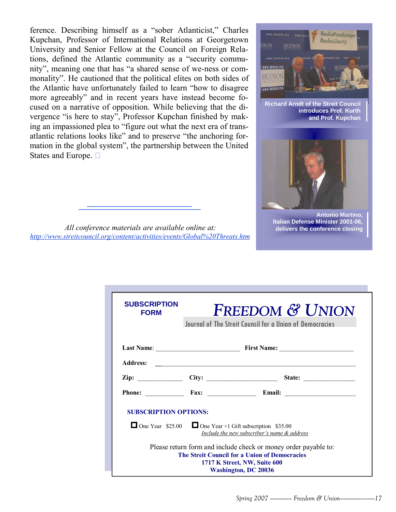ference. Describing himself as a "sober Atlanticist," Charles Kupchan, Professor of International Relations at Georgetown University and Senior Fellow at the Council on Foreign Relations, defined the Atlantic community as a "security community", meaning one that has "a shared sense of we-ness or commonality". He cautioned that the political elites on both sides of the Atlantic have unfortunately failed to learn "how to disagree" more agreeably" and in recent years have instead become focused on a narrative of opposition. While believing that the divergence "is here to stay", Professor Kupchan finished by making an impassioned plea to "figure out what the next era of transatlantic relations looks like" and to preserve "the anchoring formation in the global system", the partnership between the United States and Europe.  $\Box$ 



**Richard Arndt of the Streit Council introduces Prof. Kurth and Prof. Kupchan** 



**Antonio Martino, Italian Defense Minister 2001-06, delivers the conference closing** 

*All conference materials are available online at: http://www.streitcouncil.org/content/activities/events/Global%20Threats.htm*

| <b>SUBSCRIPTION</b><br><b>FORM</b>                             |  | Journal of The Streit Council for a Union of Democracies                                                                                                                        | <b>FREEDOM &amp; UNION</b>                                                                                                                                                                     |  |
|----------------------------------------------------------------|--|---------------------------------------------------------------------------------------------------------------------------------------------------------------------------------|------------------------------------------------------------------------------------------------------------------------------------------------------------------------------------------------|--|
|                                                                |  |                                                                                                                                                                                 |                                                                                                                                                                                                |  |
|                                                                |  |                                                                                                                                                                                 | Address: <b>Address: Address: Address: Address: Address: Address: Address: Address: Address: Address: Address: Address: Address: Address: Address: Address: Address: Address: Address: Add</b> |  |
| $\mathbf{Zip:}$ $\begin{bmatrix} \mathbf{City:} \end{bmatrix}$ |  |                                                                                                                                                                                 | State:                                                                                                                                                                                         |  |
|                                                                |  |                                                                                                                                                                                 | Phone: Fax: Fax: Email:                                                                                                                                                                        |  |
| <b>SUBSCRIPTION OPTIONS:</b>                                   |  |                                                                                                                                                                                 |                                                                                                                                                                                                |  |
|                                                                |  | One Year $$25.00$ One Year +1 Gift subscription \$35.00<br>Include the new subscriber's name & address                                                                          |                                                                                                                                                                                                |  |
|                                                                |  | Please return form and include check or money order payable to:<br>The Streit Council for a Union of Democracies<br>1717 K Street, NW, Suite 600<br><b>Washington, DC 20036</b> |                                                                                                                                                                                                |  |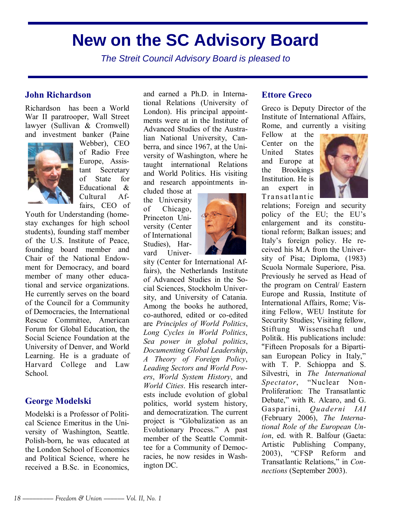### **New on the SC Advisory Board**

The Streit Council Advisory Board is pleased to

### **John Richardson**

Richardson has been a World War II paratrooper, Wall Street lawyer (Sullivan & Cromwell) and investment banker (Paine



Webber), CEO of Radio Free Europe, Assistant Secretary of State for Educational & Cultural Affairs, CEO of

Youth for Understanding (homestay exchanges for high school students), founding staff member of the U.S. Institute of Peace, founding board member and Chair of the National Endowment for Democracy, and board member of many other educational and service organizations. He currently serves on the board of the Council for a Community of Democracies, the International Rescue Committee, American Forum for Global Education, the Social Science Foundation at the University of Denver, and World Learning. He is a graduate of Harvard College and Law School.

### **George Modelski**

Modelski is a Professor of Political Science Emeritus in the University of Washington, Seattle. Polish-born, he was educated at the London School of Economics and Political Science, where he received a B.Sc. in Economics,

and earned a Ph.D. in International Relations (University of London). His principal appointments were at in the Institute of Advanced Studies of the Australian National University, Canberra, and since 1967, at the University of Washington, where he taught international Relations and World Politics. His visiting and research appointments in-

cluded those at the University of Chicago, Princeton University (Center of International Studies), Harvard Univer-



sity (Center for International Affairs), the Netherlands Institute of Advanced Studies in the Social Sciences, Stockholm University, and University of Catania. Among the books he authored, co-authored, edited or co-edited are *Principles of World Politics*, *Long Cycles in World Politics*, *Sea power in global politics*, *Documenting Global Leadership*, *A Theory of Foreign Policy*, *Leading Sectors and World Powers*, *World System History*, and *World Cities*. His research interests include evolution of global politics, world system history, and democratization. The current project is "Globalization as an Evolutionary Process." A past member of the Seattle Committee for a Community of Democracies, he now resides in Washington DC.

### **Ettore Greco**

Greco is Deputy Director of the Institute of International Affairs, Rome, and currently a visiting

Fellow at the Center on the United States and Europe at the Brookings Institution. He is an expert in Transat lant ic



relations; Foreign and security policy of the EU; the EU's enlargement and its constitutional reform; Balkan issues; and Italy's foreign policy. He received his M.A from the University of Pisa; Diploma, (1983) Scuola Normale Superiore, Pisa. Previously he served as Head of the program on Central/ Eastern Europe and Russia, Institute of International Affairs, Rome; Visiting Fellow, WEU Institute for Security Studies; Visiting fellow, Stiftung Wissenschaft und Politik. His publications include: ìFifteen Proposals for a Bipartisan European Policy in Italy," with T. P. Schioppa and S. Silvestri, in *The International Spectator*, "Nuclear Non-Proliferation: The Transatlantic Debate," with R. Alcaro, and G. Gasparini, *Quaderni IAI* (February 2006), *The International Role of the European Union*, ed. with R. Balfour (Gaeta: Artistic Publishing Company, 2003), "CFSP Reform and Transatlantic Relations," in *Connections* (September 2003).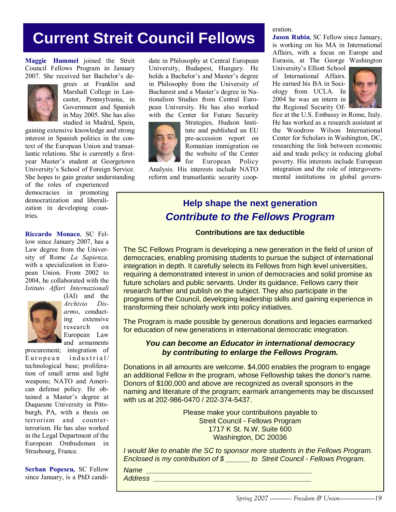### **Current Streit Council Fellows**

**Maggie Hummel** joined the Streit Council Fellows Program in January 2007. She received her Bachelor's de-



grees at Franklin and Marshall College in Lancaster, Pennsylvania, in Government and Spanish in May 2005. She has also studied in Madrid, Spain,

gaining extensive knowledge and strong interest in Spanish politics in the context of the European Union and transatlantic relations. She is currently a firstyear Master's student at Georgetown University's School of Foreign Service. She hopes to gain greater understanding

of the roles of experienced democracies in promoting democratization and liberalization in developing countries.

**Riccardo Monaco**, SC Fellow since January 2007, has a Law degree from the University of Rome *La Sapienza,* with a specialization in European Union. From 2002 to 2004, he collaborated with the *Istituto Affari Internazionali*



(IAI) and the *Archivio Disarmo*, conducting extensive research on European Law and armaments

procurement; integration of European industrial/ technological base; proliferation of small arms and light weapons; NATO and American defense policy. He obtained a Master's degree at Duquesne University in Pittsburgh, PA, with a thesis on terrorism and counterterrorism. He has also worked in the Legal Department of the European Ombudsman in Strasbourg, France.

**Serban Popescu,** SC Fellow since January, is a PhD candi-

date in Philosophy at Central European University, Budapest, Hungary. He holds a Bachelor's and Master's degree in Philosophy from the University of Bucharest and a Master's degree in Nationalism Studies from Central European University. He has also worked with the Center for Future Security



Strategies, Hudson Institute and published an EU pre-accession report on Romanian immigration on the website of the Center for European Policy

Analysis. His interests include NATO reform and transatlantic security cooperation.

**Jason Rubin**, SC Fellow since January, is working on his MA in International

Affairs, with a focus on Europe and Eurasia, at The George Washington

University's Elliott School of International Affairs. He earned his BA in Sociology from UCLA. In 2004 he was an intern in the Regional Security Of-



fice at the U.S. Embassy in Rome, Italy. He has worked as a research assistant at the Woodrow Wilson International Center for Scholars in Washington, DC, researching the link between economic aid and trade policy in reducing global poverty. His interests include European integration and the role of intergovernmental institutions in global govern-

### **Help shape the next generation Contribute to the Fellows Program**

### **Contributions are tax deductible**

The SC Fellows Program is developing a new generation in the field of union of democracies, enabling promising students to pursue the subject of international integration in depth. It carefully selects its Fellows from high level universities, requiring a demonstrated interest in union of democracies and solid promise as future scholars and public servants. Under its guidance, Fellows carry their research farther and publish on the subject. They also participate in the programs of the Council, developing leadership skills and gaining experience in transforming their scholarly work into policy initiatives.

The Program is made possible by generous donations and legacies earmarked for education of new generations in international democratic integration.

### **You can become an Educator in international democracy by contributing to enlarge the Fellows Program.**

Donations in all amounts are welcome. \$4,000 enables the program to engage an additional Fellow in the program, whose Fellowship takes the donor's name. Donors of \$100,000 and above are recognized as overall sponsors in the naming and literature of the program; earmark arrangements may be discussed with us at 202-986-0470 / 202-374-5437.

> Please make your contributions payable to Streit Council - Fellows Program 1717 K St. N.W. Suite 600 Washington, DC 20036

I would like to enable the SC to sponsor more students in the Fellows Program. Enclosed is my contribution of \$ \_\_\_\_\_\_ to Streit Council - Fellows Program.

Name \_\_\_\_\_\_\_\_\_\_\_\_\_\_\_\_\_\_\_\_\_\_\_\_\_\_\_\_\_\_\_\_\_\_\_\_\_\_\_\_\_\_ Address \_\_\_\_\_\_\_\_\_\_\_\_\_\_\_\_\_\_\_\_\_\_\_\_\_\_\_\_\_\_\_\_\_\_\_\_\_\_\_\_

*Spring 2007 –*——— Freedom & Union–––––––––19